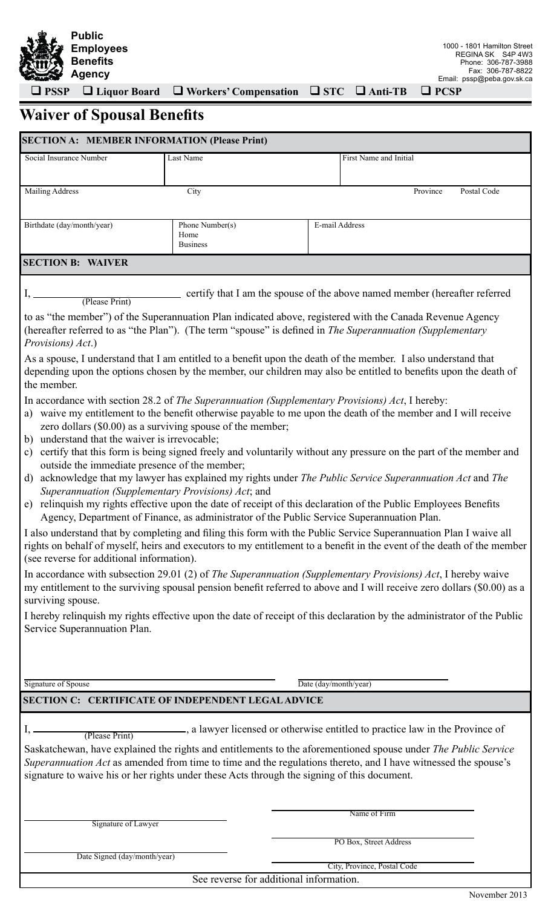

 **PSSP Liquor Board Workers' Compensation STC Anti-TB PCSP**

# **Waiver of Spousal Benefits**

| <b>SECTION A: MEMBER INFORMATION (Please Print)</b>                                                                                                                         |                                                                                                                                                          |                                                                                                                                                                                                                                                                                                                                                                                                                                                                                                                                                                    |
|-----------------------------------------------------------------------------------------------------------------------------------------------------------------------------|----------------------------------------------------------------------------------------------------------------------------------------------------------|--------------------------------------------------------------------------------------------------------------------------------------------------------------------------------------------------------------------------------------------------------------------------------------------------------------------------------------------------------------------------------------------------------------------------------------------------------------------------------------------------------------------------------------------------------------------|
| Social Insurance Number                                                                                                                                                     | Last Name                                                                                                                                                | First Name and Initial                                                                                                                                                                                                                                                                                                                                                                                                                                                                                                                                             |
|                                                                                                                                                                             |                                                                                                                                                          |                                                                                                                                                                                                                                                                                                                                                                                                                                                                                                                                                                    |
| <b>Mailing Address</b>                                                                                                                                                      | City                                                                                                                                                     | Postal Code<br>Province                                                                                                                                                                                                                                                                                                                                                                                                                                                                                                                                            |
| Birthdate (day/month/year)                                                                                                                                                  | Phone Number(s)                                                                                                                                          | E-mail Address                                                                                                                                                                                                                                                                                                                                                                                                                                                                                                                                                     |
|                                                                                                                                                                             | Home<br><b>Business</b>                                                                                                                                  |                                                                                                                                                                                                                                                                                                                                                                                                                                                                                                                                                                    |
| <b>SECTION B: WAIVER</b>                                                                                                                                                    |                                                                                                                                                          |                                                                                                                                                                                                                                                                                                                                                                                                                                                                                                                                                                    |
|                                                                                                                                                                             |                                                                                                                                                          | certify that I am the spouse of the above named member (hereafter referred                                                                                                                                                                                                                                                                                                                                                                                                                                                                                         |
| (Please Print)<br>Provisions) Act.)                                                                                                                                         |                                                                                                                                                          | to as "the member") of the Superannuation Plan indicated above, registered with the Canada Revenue Agency<br>(hereafter referred to as "the Plan"). (The term "spouse" is defined in The Superannuation (Supplementary                                                                                                                                                                                                                                                                                                                                             |
| the member.                                                                                                                                                                 |                                                                                                                                                          | As a spouse, I understand that I am entitled to a benefit upon the death of the member. I also understand that<br>depending upon the options chosen by the member, our children may also be entitled to benefits upon the death of                                                                                                                                                                                                                                                                                                                                 |
| b) understand that the waiver is irrevocable;<br>$\mathbf{c})$<br>outside the immediate presence of the member;<br>d)<br>Superannuation (Supplementary Provisions) Act; and | zero dollars (\$0.00) as a surviving spouse of the member;<br>Agency, Department of Finance, as administrator of the Public Service Superannuation Plan. | In accordance with section 28.2 of The Superannuation (Supplementary Provisions) Act, I hereby:<br>a) waive my entitlement to the benefit otherwise payable to me upon the death of the member and I will receive<br>certify that this form is being signed freely and voluntarily without any pressure on the part of the member and<br>acknowledge that my lawyer has explained my rights under The Public Service Superannuation Act and The<br>e) relinquish my rights effective upon the date of receipt of this declaration of the Public Employees Benefits |
| (see reverse for additional information).                                                                                                                                   |                                                                                                                                                          | I also understand that by completing and filing this form with the Public Service Superannuation Plan I waive all<br>rights on behalf of myself, heirs and executors to my entitlement to a benefit in the event of the death of the member                                                                                                                                                                                                                                                                                                                        |
| surviving spouse.                                                                                                                                                           |                                                                                                                                                          | In accordance with subsection 29.01 (2) of The Superannuation (Supplementary Provisions) Act, I hereby waive<br>my entitlement to the surviving spousal pension benefit referred to above and I will receive zero dollars (\$0.00) as a                                                                                                                                                                                                                                                                                                                            |
| Service Superannuation Plan.                                                                                                                                                |                                                                                                                                                          | I hereby relinquish my rights effective upon the date of receipt of this declaration by the administrator of the Public                                                                                                                                                                                                                                                                                                                                                                                                                                            |
|                                                                                                                                                                             |                                                                                                                                                          |                                                                                                                                                                                                                                                                                                                                                                                                                                                                                                                                                                    |
| Signature of Spouse                                                                                                                                                         |                                                                                                                                                          | Date (day/month/year)                                                                                                                                                                                                                                                                                                                                                                                                                                                                                                                                              |
| <b>SECTION C: CERTIFICATE OF INDEPENDENT LEGAL ADVICE</b>                                                                                                                   |                                                                                                                                                          |                                                                                                                                                                                                                                                                                                                                                                                                                                                                                                                                                                    |
| (Please Print)                                                                                                                                                              | signature to waive his or her rights under these Acts through the signing of this document.                                                              | -, a lawyer licensed or otherwise entitled to practice law in the Province of<br>Saskatchewan, have explained the rights and entitlements to the aforementioned spouse under The Public Service<br>Superannuation Act as amended from time to time and the regulations thereto, and I have witnessed the spouse's                                                                                                                                                                                                                                                  |
|                                                                                                                                                                             |                                                                                                                                                          | Name of Firm                                                                                                                                                                                                                                                                                                                                                                                                                                                                                                                                                       |
| Signature of Lawyer                                                                                                                                                         |                                                                                                                                                          |                                                                                                                                                                                                                                                                                                                                                                                                                                                                                                                                                                    |
| Date Signed (day/month/year)                                                                                                                                                |                                                                                                                                                          | PO Box, Street Address                                                                                                                                                                                                                                                                                                                                                                                                                                                                                                                                             |
|                                                                                                                                                                             |                                                                                                                                                          | City, Province, Postal Code                                                                                                                                                                                                                                                                                                                                                                                                                                                                                                                                        |